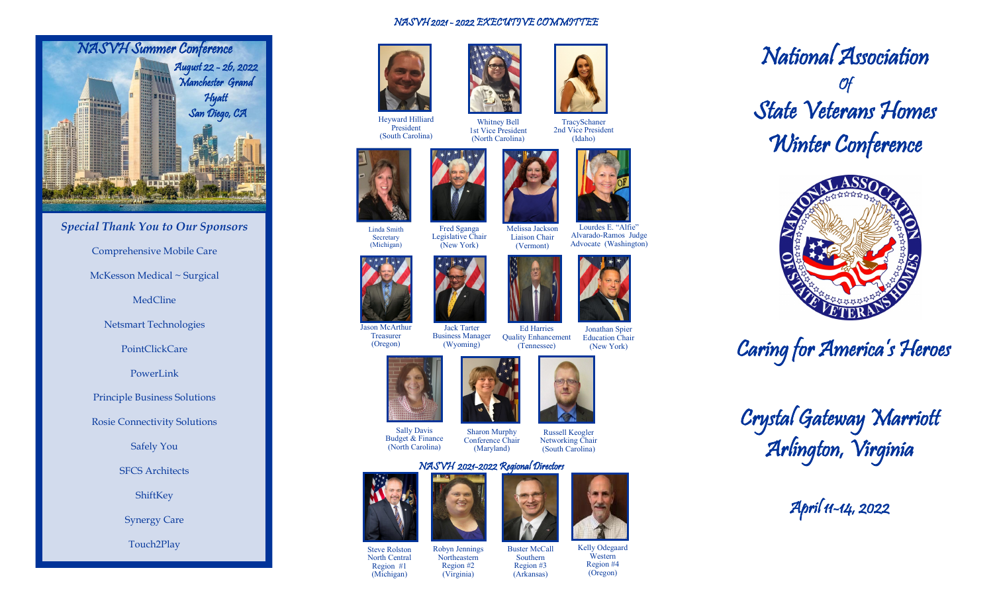

## *Special Thank You to Our Sponsors* Comprehensive Mobile Care McKesson Medical ~ Surgical MedCline

Netsmart Technologies

PointClickCare

PowerLink

Principle Business Solutions

Rosie Connectivity Solutions

Safely You

SFCS Architects

ShiftKey

Synergy Care

Touch2Play

## NASVH 2021 - 2022 EXECUTIVE COMMITTEE

Whitney Bell 1st Vice President (North Carolina)



Heyward Hilliard President (South Carolina)



Fred Sganga Legislative Chair (New York) Linda Smith **Secretary** (Michigan)



Jason McArthur **Treasurer** (Oregon) Jack Tarter Business Manager (Wyoming)

Ed Harries (Tennessee)



Sally Davis Budget & Finance (North Carolina)

Russell Keogler Networking Chair (South Carolina) Sharon Murphy Conference Chair

## NASVH 2021-2022 Regional Directors (Maryland)



Steve Rolston North Central Region #1 (Michigan)



Buster McCall Southern Region #3 (Arkansas)



TracySchaner 2nd Vice President (Idaho)



Education Chair (New York)



Liaison Chair (Vermont)

Jonathan Spier











National Association Of State Veterans Homes Winter Conference



Caring for America's Heroes



April 11-14, 2022



Region #4

Kelly Odegaard

**Western** 

(Oregon)